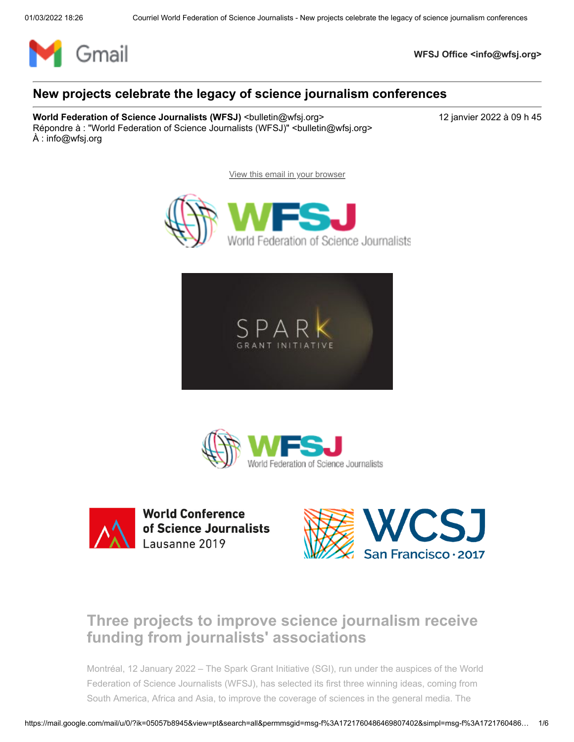

**WFSJ Office <info@wfsj.org>**

## **New projects celebrate the legacy of science journalism conferences**

**World Federation of Science Journalists (WFSJ)** <br/>
<br/>
<br/>
<br/>
<br/>
Letin@wfsj.org>
<br/>
<br/>
<br/>
<br/>
<br/>
<br/>
<br/>
<br/>
<br/>
<br/>
<br/>
<br/>
<br/>
<br/>
<br/>
<br/>
<br/>
<br/>
<br/>
<br/>
<br/>
< Répondre à : "World Federation of Science Journalists (WFSJ)" <br/>bulletin@wfsj.org> À : info@wfsj.org

[View this email in your browser](https://mailchi.mp/wfsj/new-projects-celebrate-the-legacy-of-science-journalism-conferences?e=5575ecfde9)









**World Conference** of Science Journalists Lausanne 2019



# **Three projects to improve science journalism receive funding from journalists' associations**

Montréal, 12 January 2022 – The Spark Grant Initiative (SGI), run under the auspices of the World Federation of Science Journalists (WFSJ), has selected its first three winning ideas, coming from South America, Africa and Asia, to improve the coverage of sciences in the general media. The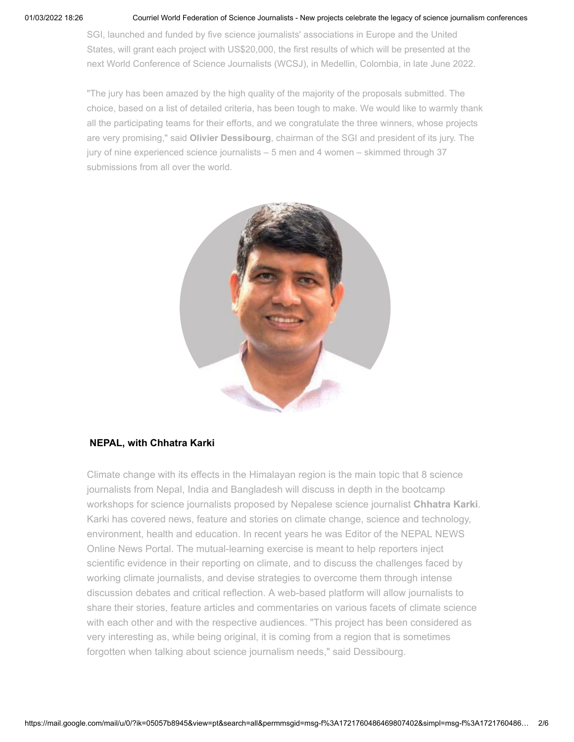#### 01/03/2022 18:26 Courriel World Federation of Science Journalists - New projects celebrate the legacy of science journalism conferences

SGI, launched and funded by five science journalists' associations in Europe and the United States, will grant each project with US\$20,000, the first results of which will be presented at the next World Conference of Science Journalists (WCSJ), in Medellin, Colombia, in late June 2022.

"The jury has been amazed by the high quality of the majority of the proposals submitted. The choice, based on a list of detailed criteria, has been tough to make. We would like to warmly thank all the participating teams for their efforts, and we congratulate the three winners, whose projects are very promising," said **Olivier Dessibourg**, chairman of the SGI and president of its jury. The jury of nine experienced science journalists – 5 men and 4 women – skimmed through 37 submissions from all over the world.



#### **NEPAL, with Chhatra Karki**

Climate change with its effects in the Himalayan region is the main topic that 8 science journalists from Nepal, India and Bangladesh will discuss in depth in the bootcamp workshops for science journalists proposed by Nepalese science journalist **Chhatra Karki**. Karki has covered news, feature and stories on climate change, science and technology, environment, health and education. In recent years he was Editor of the NEPAL NEWS Online News Portal. The mutual-learning exercise is meant to help reporters inject scientific evidence in their reporting on climate, and to discuss the challenges faced by working climate journalists, and devise strategies to overcome them through intense discussion debates and critical reflection. A web-based platform will allow journalists to share their stories, feature articles and commentaries on various facets of climate science with each other and with the respective audiences. "This project has been considered as very interesting as, while being original, it is coming from a region that is sometimes forgotten when talking about science journalism needs," said Dessibourg.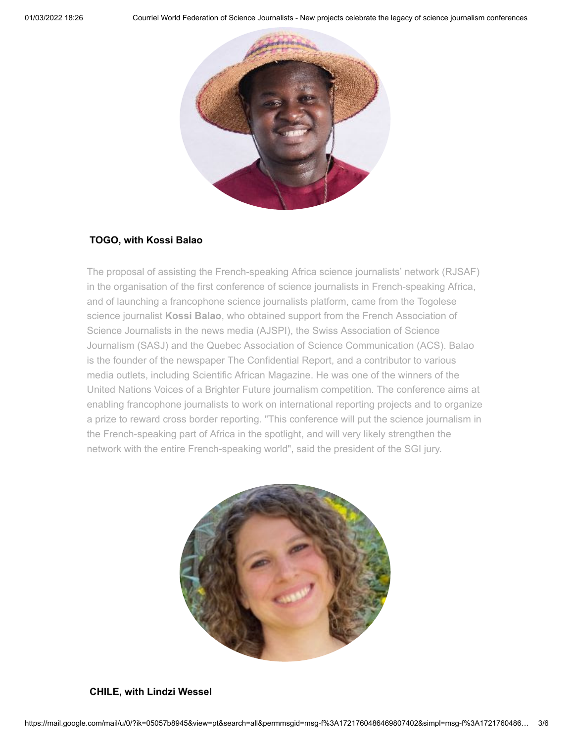

#### **TOGO, with Kossi Balao**

The proposal of assisting the French-speaking Africa science journalists' network (RJSAF) in the organisation of the first conference of science journalists in French-speaking Africa, and of launching a francophone science journalists platform, came from the Togolese science journalist **Kossi Balao**, who obtained support from the French Association of Science Journalists in the news media (AJSPI), the Swiss Association of Science Journalism (SASJ) and the Quebec Association of Science Communication (ACS). Balao is the founder of the newspaper The Confidential Report, and a contributor to various media outlets, including Scientific African Magazine. He was one of the winners of the United Nations Voices of a Brighter Future journalism competition. The conference aims at enabling francophone journalists to work on international reporting projects and to organize a prize to reward cross border reporting. "This conference will put the science journalism in the French-speaking part of Africa in the spotlight, and will very likely strengthen the network with the entire French-speaking world", said the president of the SGI jury.



### **CHILE, with Lindzi Wessel**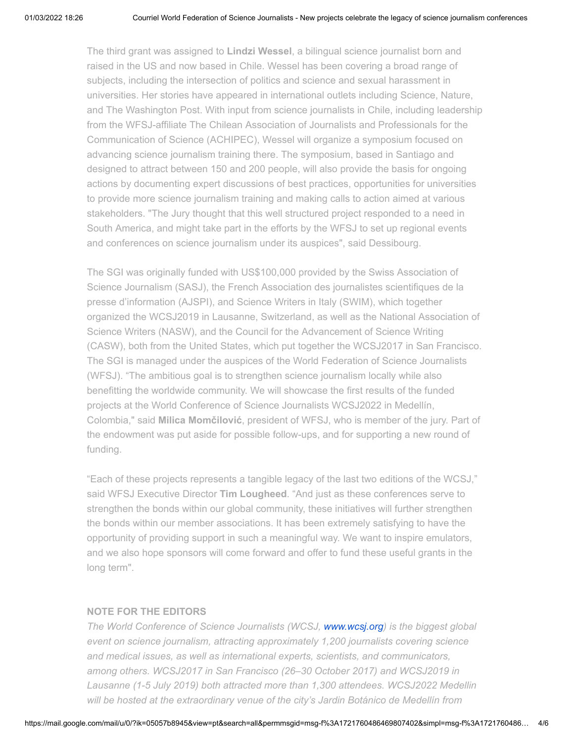The third grant was assigned to **Lindzi Wessel**, a bilingual science journalist born and raised in the US and now based in Chile. Wessel has been covering a broad range of subjects, including the intersection of politics and science and sexual harassment in universities. Her stories have appeared in international outlets including Science, Nature, and The Washington Post. With input from science journalists in Chile, including leadership from the WFSJ-affiliate The Chilean Association of Journalists and Professionals for the Communication of Science (ACHIPEC), Wessel will organize a symposium focused on advancing science journalism training there. The symposium, based in Santiago and designed to attract between 150 and 200 people, will also provide the basis for ongoing actions by documenting expert discussions of best practices, opportunities for universities to provide more science journalism training and making calls to action aimed at various stakeholders. "The Jury thought that this well structured project responded to a need in South America, and might take part in the efforts by the WFSJ to set up regional events and conferences on science journalism under its auspices", said Dessibourg.

The SGI was originally funded with US\$100,000 provided by the Swiss Association of Science Journalism (SASJ), the French Association des journalistes scientifiques de la presse d'information (AJSPI), and Science Writers in Italy (SWIM), which together organized the WCSJ2019 in Lausanne, Switzerland, as well as the National Association of Science Writers (NASW), and the Council for the Advancement of Science Writing (CASW), both from the United States, which put together the WCSJ2017 in San Francisco. The SGI is managed under the auspices of the World Federation of Science Journalists (WFSJ). "The ambitious goal is to strengthen science journalism locally while also benefitting the worldwide community. We will showcase the first results of the funded projects at the World Conference of Science Journalists WCSJ2022 in Medellín, Colombia," said **Milica Momčilović**, president of WFSJ, who is member of the jury. Part of the endowment was put aside for possible follow-ups, and for supporting a new round of funding.

"Each of these projects represents a tangible legacy of the last two editions of the WCSJ," said WFSJ Executive Director **Tim Lougheed**. "And just as these conferences serve to strengthen the bonds within our global community, these initiatives will further strengthen the bonds within our member associations. It has been extremely satisfying to have the opportunity of providing support in such a meaningful way. We want to inspire emulators, and we also hope sponsors will come forward and offer to fund these useful grants in the long term".

#### **NOTE FOR THE EDITORS**

*The World Conference of Science Journalists (WCSJ, [www.wcsj.org](http://www.wcsj.org/)) is the biggest global event on science journalism, attracting approximately 1,200 journalists covering science and medical issues, as well as international experts, scientists, and communicators, among others. WCSJ2017 in San Francisco (26–30 October 2017) and WCSJ2019 in Lausanne (1-5 July 2019) both attracted more than 1,300 attendees. WCSJ2022 Medellin will be hosted at the extraordinary venue of the city's Jardin Botánico de Medellín from*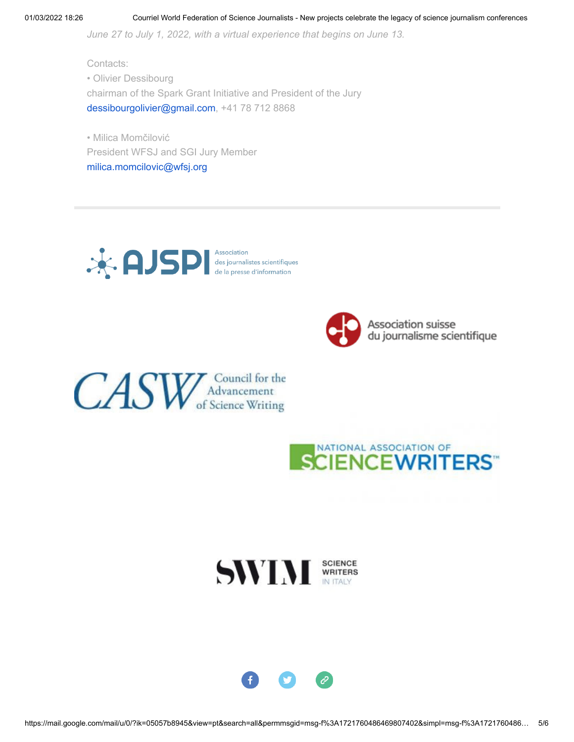*June 27 to July 1, 2022, with a virtual experience that begins on June 13.*

Contacts: • Olivier Dessibourg chairman of the Spark Grant Initiative and President of the Jury [dessibourgolivier@gmail.com](mailto:dessibourgolivier@gmail.com), +41 78 712 8868

• Milica Momčilović President WFSJ and SGI Jury Member [milica.momcilovic@wfsj.org](mailto:milica.momcilovic@wfsj.org)





CASW Advancement